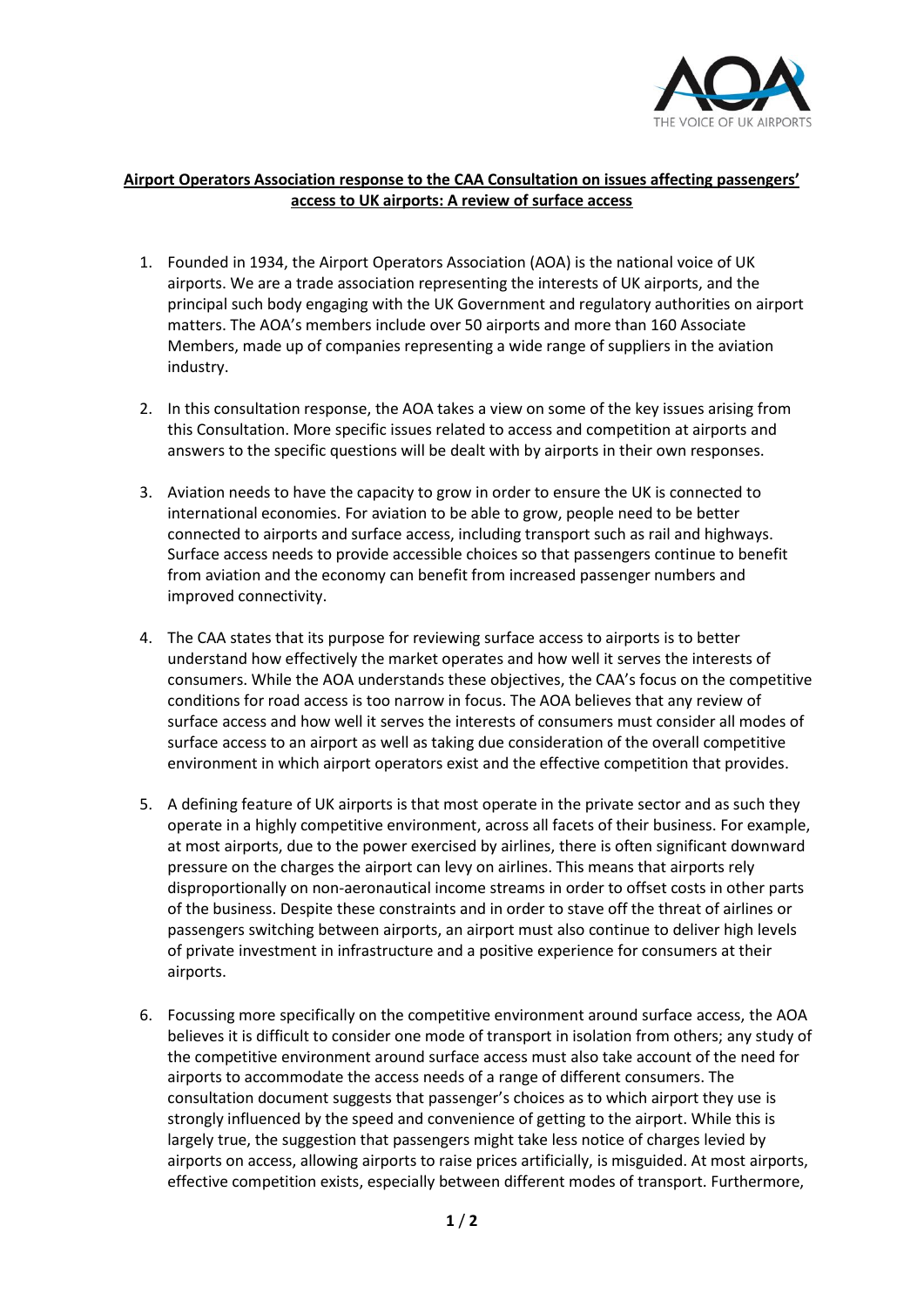

## **Airport Operators Association response to the CAA Consultation on issues affecting passengers' access to UK airports: A review of surface access**

- 1. Founded in 1934, the Airport Operators Association (AOA) is the national voice of UK airports. We are a trade association representing the interests of UK airports, and the principal such body engaging with the UK Government and regulatory authorities on airport matters. The AOA's members include over 50 airports and more than 160 Associate Members, made up of companies representing a wide range of suppliers in the aviation industry.
- 2. In this consultation response, the AOA takes a view on some of the key issues arising from this Consultation. More specific issues related to access and competition at airports and answers to the specific questions will be dealt with by airports in their own responses.
- 3. Aviation needs to have the capacity to grow in order to ensure the UK is connected to international economies. For aviation to be able to grow, people need to be better connected to airports and surface access, including transport such as rail and highways. Surface access needs to provide accessible choices so that passengers continue to benefit from aviation and the economy can benefit from increased passenger numbers and improved connectivity.
- 4. The CAA states that its purpose for reviewing surface access to airports is to better understand how effectively the market operates and how well it serves the interests of consumers. While the AOA understands these objectives, the CAA's focus on the competitive conditions for road access is too narrow in focus. The AOA believes that any review of surface access and how well it serves the interests of consumers must consider all modes of surface access to an airport as well as taking due consideration of the overall competitive environment in which airport operators exist and the effective competition that provides.
- 5. A defining feature of UK airports is that most operate in the private sector and as such they operate in a highly competitive environment, across all facets of their business. For example, at most airports, due to the power exercised by airlines, there is often significant downward pressure on the charges the airport can levy on airlines. This means that airports rely disproportionally on non-aeronautical income streams in order to offset costs in other parts of the business. Despite these constraints and in order to stave off the threat of airlines or passengers switching between airports, an airport must also continue to deliver high levels of private investment in infrastructure and a positive experience for consumers at their airports.
- 6. Focussing more specifically on the competitive environment around surface access, the AOA believes it is difficult to consider one mode of transport in isolation from others; any study of the competitive environment around surface access must also take account of the need for airports to accommodate the access needs of a range of different consumers. The consultation document suggests that passenger's choices as to which airport they use is strongly influenced by the speed and convenience of getting to the airport. While this is largely true, the suggestion that passengers might take less notice of charges levied by airports on access, allowing airports to raise prices artificially, is misguided. At most airports, effective competition exists, especially between different modes of transport. Furthermore,